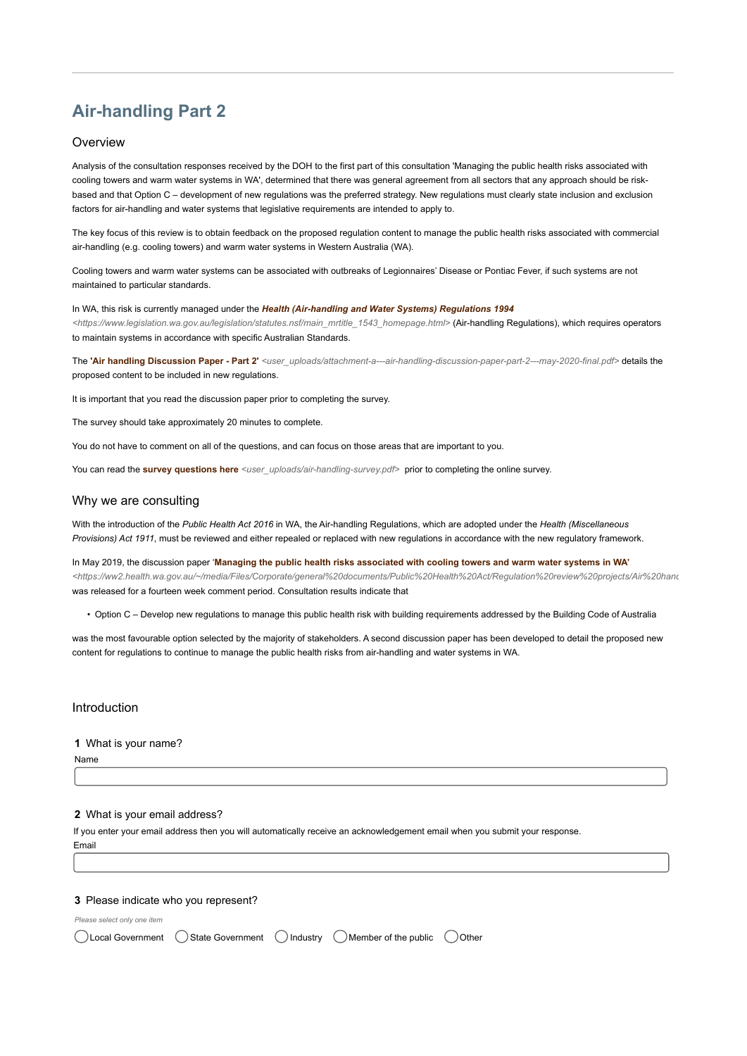# Air-handling Part 2

#### **Overview**

Analysis of the consultation responses received by the DOH to the first part of this consultation 'Managing the public health risks associated with cooling towers and warm water systems in WA', determined that there was general agreement from all sectors that any approach should be riskbased and that Option C – development of new regulations was the preferred strategy. New regulations must clearly state inclusion and exclusion factors for air-handling and water systems that legislative requirements are intended to apply to.

The key focus of this review is to obtain feedback on the proposed regulation content to manage the public health risks associated with commercial air-handling (e.g. cooling towers) and warm water systems in Western Australia (WA).

Cooling towers and warm water systems can be associated with outbreaks of Legionnaires' Disease or Pontiac Fever, if such systems are not maintained to particular standards.

In WA, this risk is currently managed under the Health (Air-handling and Water Systems) Regulations 1994 <https://www.legislation.wa.gov.au/legislation/statutes.nsf/main\_mrtitle\_1543\_homepage.html> (Air-handling Regulations), which requires operators to maintain systems in accordance with specific Australian Standards.

The 'Air handling Discussion Paper - Part 2' <user\_uploads/attachment-a---air-handling-discussion-paper-part-2---may-2020-final.pdf> details the proposed content to be included in new regulations.

It is important that you read the discussion paper prior to completing the survey.

The survey should take approximately 20 minutes to complete.

You do not have to comment on all of the questions, and can focus on those areas that are important to you.

You can read the survey questions here <user\_uploads/air-handling-survey.pdf> prior to completing the online survey.

#### Why we are consulting

With the introduction of the Public Health Act 2016 in WA, the Air-handling Regulations, which are adopted under the Health (Miscellaneous Provisions) Act 1911, must be reviewed and either repealed or replaced with new regulations in accordance with the new regulatory framework.

In May 2019, the discussion paper 'Managing the public health risks associated with cooling towers and warm water systems in WA' <https://ww2.health.wa.gov.au/~/media/Files/Corporate/general%20documents/Public%20Health%20Act/Regulation%20review%20projects/Air%20hand was released for a fourteen week comment period. Consultation results indicate that

• Option C – Develop new regulations to manage this public health risk with building requirements addressed by the Building Code of Australia

was the most favourable option selected by the majority of stakeholders. A second discussion paper has been developed to detail the proposed new content for regulations to continue to manage the public health risks from air-handling and water systems in WA.

#### Introduction

#### 1 What is your name?

Name

#### 2 What is your email address?

If you enter your email address then you will automatically receive an acknowledgement email when you submit your response. Email

#### 3 Please indicate who you represent?

Please select only one item

|  |  |  |  | ◯ Local Government (State Government (C) Industry (C) Member of the public (C) Other |  |
|--|--|--|--|--------------------------------------------------------------------------------------|--|
|--|--|--|--|--------------------------------------------------------------------------------------|--|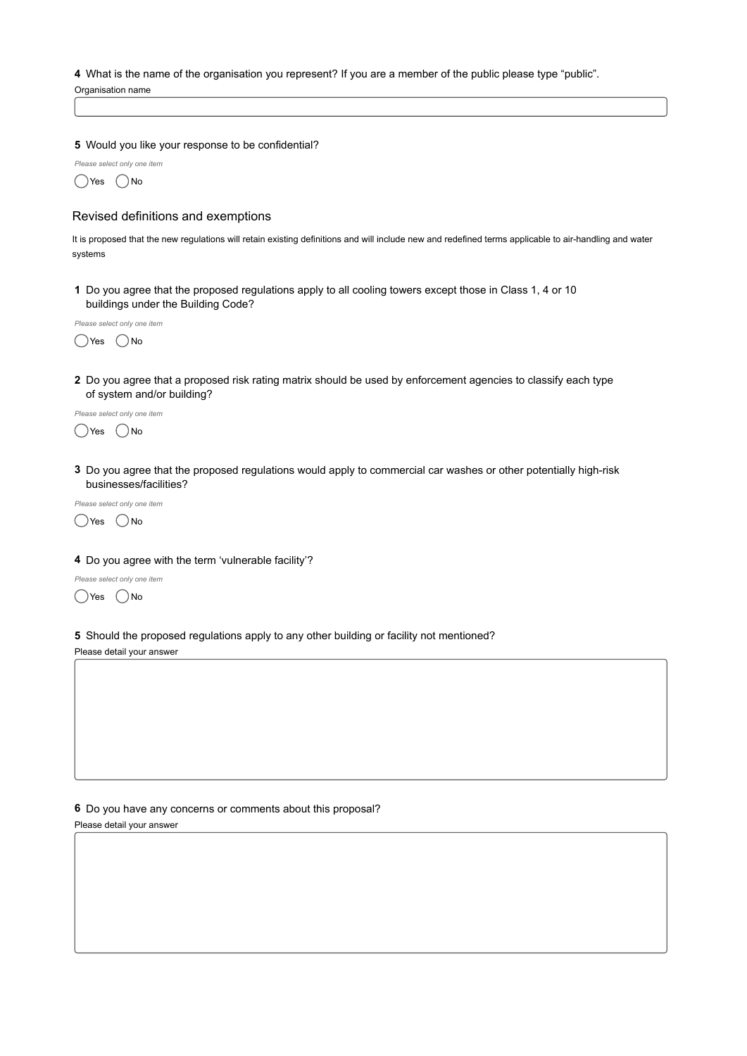#### 4 What is the name of the organisation you represent? If you are a member of the public please type "public".

Organisation name

#### 5 Would you like your response to be confidential?

Please select only one item  $\bigcirc$ Yes  $\bigcirc$ No

## Revised definitions and exemptions

It is proposed that the new regulations will retain existing definitions and will include new and redefined terms applicable to air-handling and water systems

1 Do you agree that the proposed regulations apply to all cooling towers except those in Class 1, 4 or 10 buildings under the Building Code?

Please select only one item ○Yes ○No

2 Do you agree that a proposed risk rating matrix should be used by enforcement agencies to classify each type of system and/or building?

Please select only one item  $\bigcirc$ Yes  $\bigcirc$ No

3 Do you agree that the proposed regulations would apply to commercial car washes or other potentially high-risk businesses/facilities?



#### 4 Do you agree with the term 'vulnerable facility'?

Please select only one item

 $\bigcirc$ Yes  $\bigcirc$ No

5 Should the proposed regulations apply to any other building or facility not mentioned? Please detail your answer

## 6 Do you have any concerns or comments about this proposal?

Please detail your answer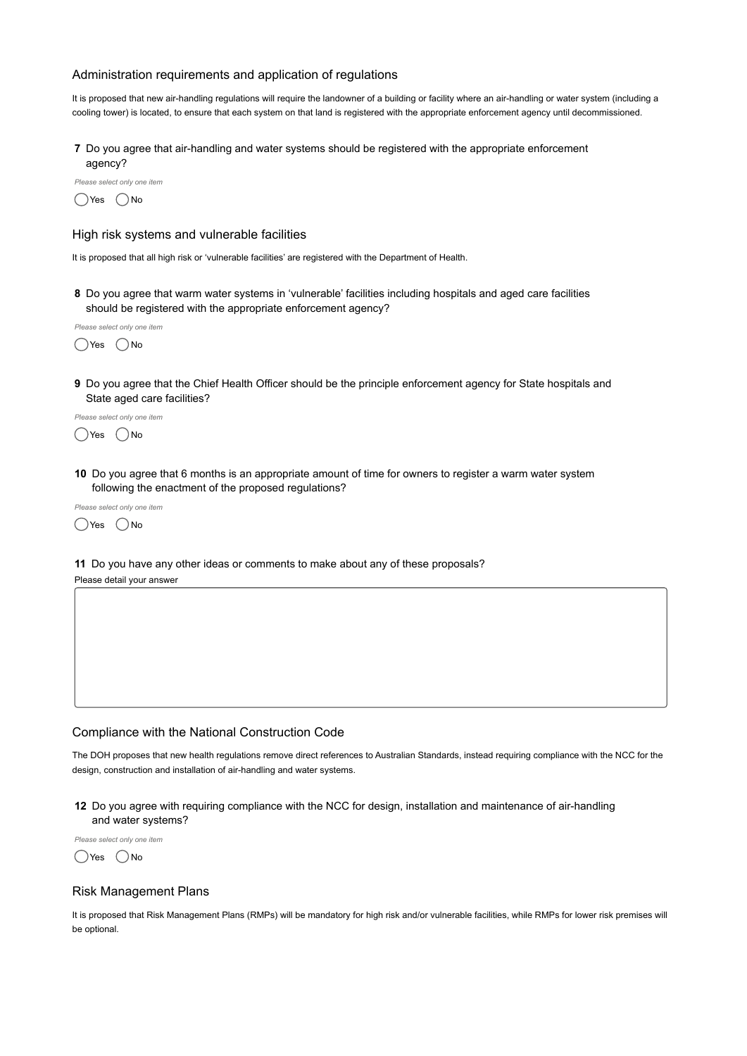## Administration requirements and application of regulations

It is proposed that new air-handling regulations will require the landowner of a building or facility where an air-handling or water system (including a cooling tower) is located, to ensure that each system on that land is registered with the appropriate enforcement agency until decommissioned.

7 Do you agree that air-handling and water systems should be registered with the appropriate enforcement agency?

Please select only one item



#### High risk systems and vulnerable facilities

It is proposed that all high risk or 'vulnerable facilities' are registered with the Department of Health.

8 Do you agree that warm water systems in 'vulnerable' facilities including hospitals and aged care facilities should be registered with the appropriate enforcement agency?



9 Do you agree that the Chief Health Officer should be the principle enforcement agency for State hospitals and State aged care facilities?

Please select only one item  $\bigcirc$ Yes  $\bigcirc$ No

10 Do you agree that 6 months is an appropriate amount of time for owners to register a warm water system following the enactment of the proposed regulations?

Please select only one item  $\bigcap$ Yes  $\bigcap$ No

11 Do you have any other ideas or comments to make about any of these proposals? Please detail your answer

## Compliance with the National Construction Code

The DOH proposes that new health regulations remove direct references to Australian Standards, instead requiring compliance with the NCC for the design, construction and installation of air-handling and water systems.

12 Do you agree with requiring compliance with the NCC for design, installation and maintenance of air-handling and water systems?

Please select only one item

 $\bigcirc$ Yes  $\bigcirc$ No

#### Risk Management Plans

It is proposed that Risk Management Plans (RMPs) will be mandatory for high risk and/or vulnerable facilities, while RMPs for lower risk premises will be optional.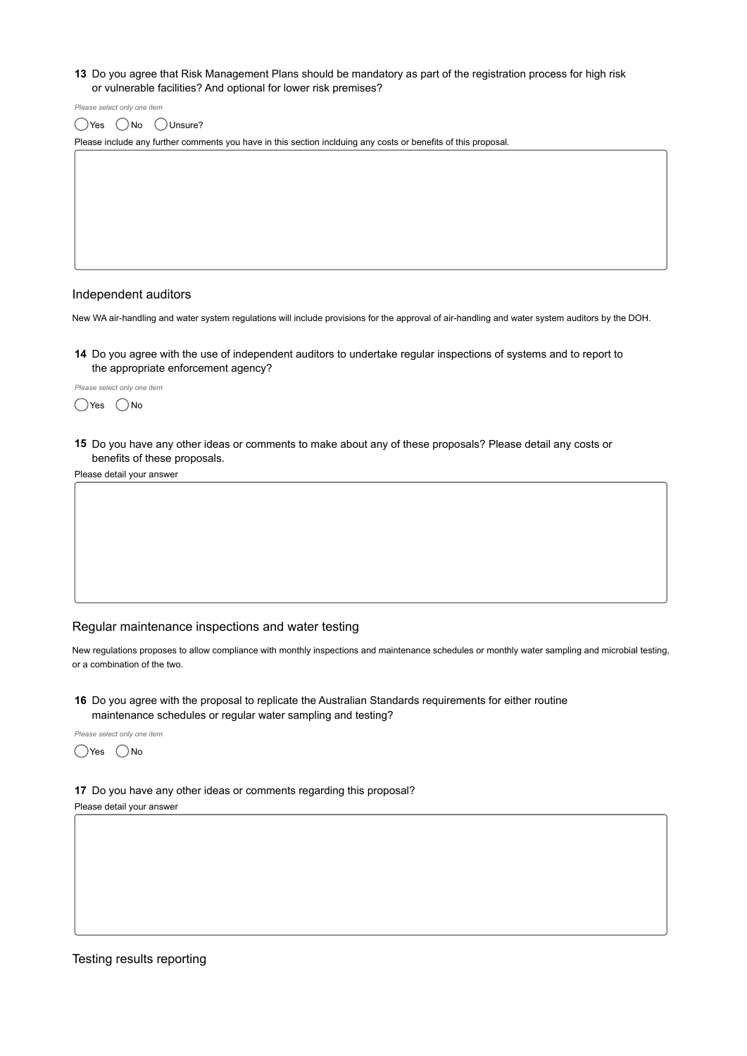#### 13 Do you agree that Risk Management Plans should be mandatory as part of the registration process for high risk or vulnerable facilities? And optional for lower risk premises?

Please select only one item  $\bigcirc$ Yes  $\bigcirc$  No  $\bigcirc$  Unsure?

Please include any further comments you have in this section inclduing any costs or benefits of this proposal.

#### Independent auditors

New WA air-handling and water system regulations will include provisions for the approval of air-handling and water system auditors by the DOH.

14 Do you agree with the use of independent auditors to undertake regular inspections of systems and to report to the appropriate enforcement agency?

Please select only one item  $\bigcap$ Yes  $\bigcap$ No

15 Do you have any other ideas or comments to make about any of these proposals? Please detail any costs or benefits of these proposals.

Please detail your answer

#### Regular maintenance inspections and water testing

New regulations proposes to allow compliance with monthly inspections and maintenance schedules or monthly water sampling and microbial testing, or a combination of the two.

16 Do you agree with the proposal to replicate the Australian Standards requirements for either routine maintenance schedules or regular water sampling and testing?

Please select only one item  $\bigcirc$ Yes  $\bigcirc$ No

17 Do you have any other ideas or comments regarding this proposal?

#### Please detail your answer

## Testing results reporting